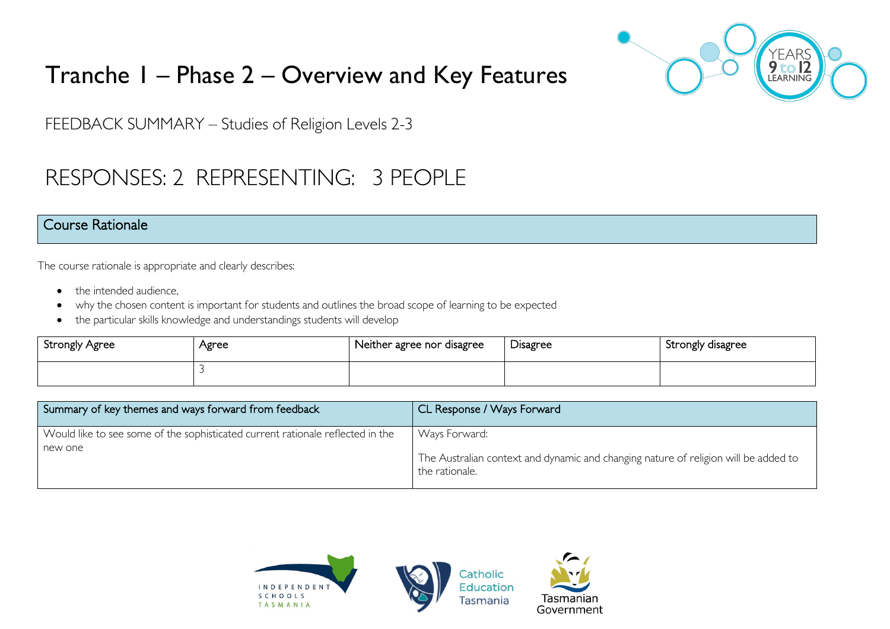

# Tranche 1 – Phase 2 – Overview and Key Features

FEEDBACK SUMMARY – Studies of Religion Levels 2-3

## RESPONSES: 2 REPRESENTING: 3 PEOPLE

#### Course Rationale

The course rationale is appropriate and clearly describes:

- the intended audience.
- why the chosen content is important for students and outlines the broad scope of learning to be expected
- the particular skills knowledge and understandings students will develop

| Strongly Agree | Agree | Neither agree nor disagree | <b>Disagree</b> | Strongly disagree |
|----------------|-------|----------------------------|-----------------|-------------------|
|                |       |                            |                 |                   |

| Summary of key themes and ways forward from feedback                                      | CL Response / Ways Forward                                                                                             |
|-------------------------------------------------------------------------------------------|------------------------------------------------------------------------------------------------------------------------|
| Would like to see some of the sophisticated current rationale reflected in the<br>new one | Ways Forward:<br>The Australian context and dynamic and changing nature of religion will be added to<br>the rationale. |

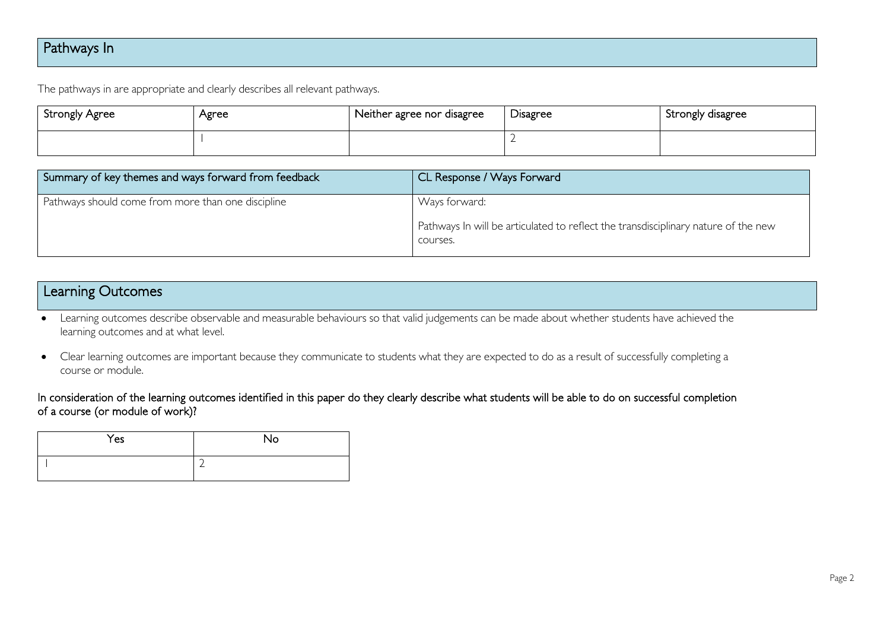## Pathways In

The pathways in are appropriate and clearly describes all relevant pathways.

| Strongly Agree | Agree | Neither agree nor disagree | Disagree | , Strongly disagree |
|----------------|-------|----------------------------|----------|---------------------|
|                |       |                            |          |                     |

| Summary of key themes and ways forward from feedback | CL Response / Ways Forward                                                                                      |
|------------------------------------------------------|-----------------------------------------------------------------------------------------------------------------|
| Pathways should come from more than one discipline   | Ways forward:<br>Pathways In will be articulated to reflect the transdisciplinary nature of the new<br>courses. |

### Learning Outcomes

• Learning outcomes describe observable and measurable behaviours so that valid judgements can be made about whether students have achieved the learning outcomes and at what level.

• Clear learning outcomes are important because they communicate to students what they are expected to do as a result of successfully completing a course or module.

#### In consideration of the learning outcomes identified in this paper do they clearly describe what students will be able to do on successful completion of a course (or module of work)?

| Yes | <b>No</b> |
|-----|-----------|
|     | ∽<br>=    |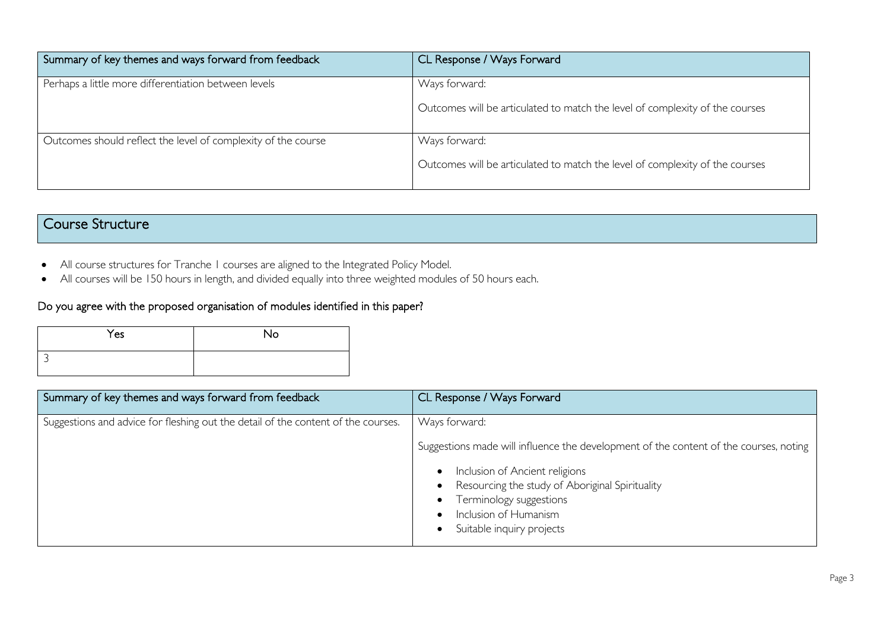| Summary of key themes and ways forward from feedback          | CL Response / Ways Forward                                                                    |
|---------------------------------------------------------------|-----------------------------------------------------------------------------------------------|
| Perhaps a little more differentiation between levels          | Ways forward:<br>Outcomes will be articulated to match the level of complexity of the courses |
| Outcomes should reflect the level of complexity of the course | Ways forward:<br>Outcomes will be articulated to match the level of complexity of the courses |

## Course Structure

- All course structures for Tranche 1 courses are aligned to the Integrated Policy Model.
- All courses will be 150 hours in length, and divided equally into three weighted modules of 50 hours each.

#### Do you agree with the proposed organisation of modules identified in this paper?

| Yes | No |
|-----|----|
|     |    |

| Summary of key themes and ways forward from feedback                              | CL Response / Ways Forward                                                                                                                                                                                                                      |
|-----------------------------------------------------------------------------------|-------------------------------------------------------------------------------------------------------------------------------------------------------------------------------------------------------------------------------------------------|
| Suggestions and advice for fleshing out the detail of the content of the courses. | Ways forward:<br>Suggestions made will influence the development of the content of the courses, noting<br>Inclusion of Ancient religions<br>Resourcing the study of Aboriginal Spirituality<br>Terminology suggestions<br>Inclusion of Humanism |
|                                                                                   | Suitable inquiry projects                                                                                                                                                                                                                       |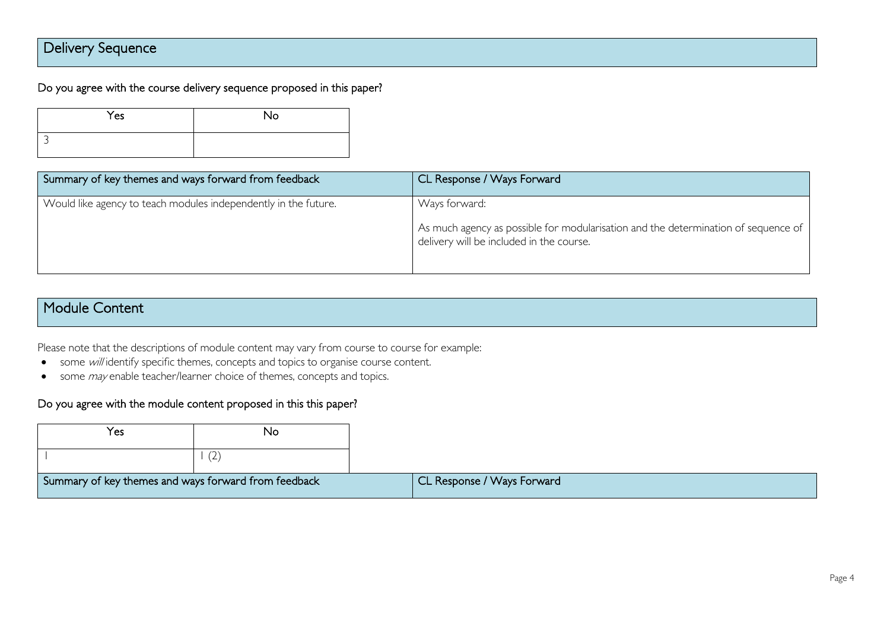## Delivery Sequence

#### Do you agree with the course delivery sequence proposed in this paper?

| Yes | <b>No</b> |
|-----|-----------|
|     |           |

| Summary of key themes and ways forward from feedback            | CL Response / Ways Forward                                                                                                                      |
|-----------------------------------------------------------------|-------------------------------------------------------------------------------------------------------------------------------------------------|
| Would like agency to teach modules independently in the future. | Ways forward:<br>As much agency as possible for modularisation and the determination of sequence of<br>delivery will be included in the course. |

### Module Content

Please note that the descriptions of module content may vary from course to course for example:

- some will identify specific themes, concepts and topics to organise course content.
- some *may* enable teacher/learner choice of themes, concepts and topics.

#### Do you agree with the module content proposed in this this paper?

| Yes                                                  | No  |
|------------------------------------------------------|-----|
|                                                      | ( Z |
| Summary of key themes and ways forward from feedback |     |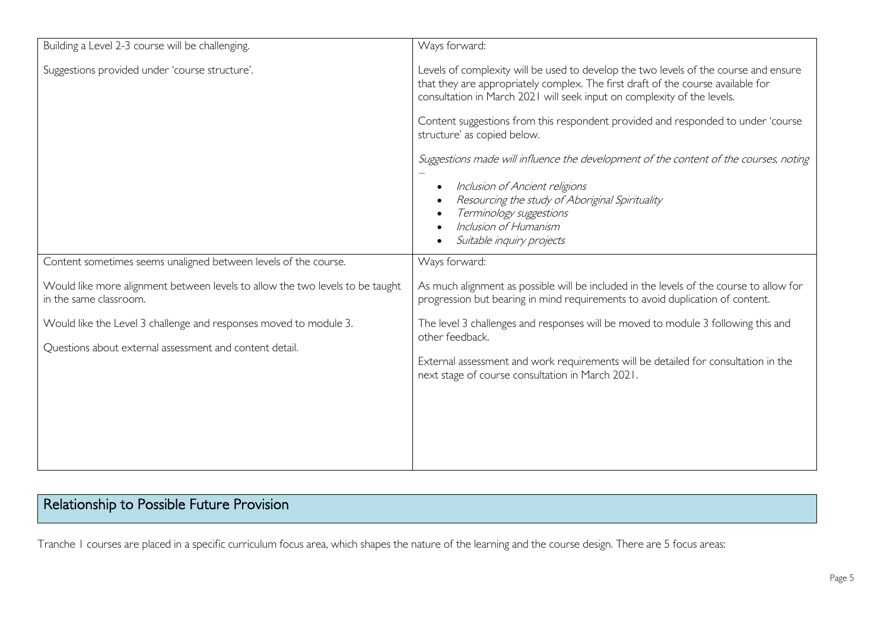| Building a Level 2-3 course will be challenging.                                                        | Ways forward:                                                                                                                                                                                                                                       |
|---------------------------------------------------------------------------------------------------------|-----------------------------------------------------------------------------------------------------------------------------------------------------------------------------------------------------------------------------------------------------|
| Suggestions provided under 'course structure'.                                                          | Levels of complexity will be used to develop the two levels of the course and ensure<br>that they are appropriately complex. The first draft of the course available for<br>consultation in March 2021 will seek input on complexity of the levels. |
|                                                                                                         | Content suggestions from this respondent provided and responded to under 'course<br>structure' as copied below.                                                                                                                                     |
|                                                                                                         | Suggestions made will influence the development of the content of the courses, noting                                                                                                                                                               |
|                                                                                                         | Inclusion of Ancient religions<br>$\bullet$<br>Resourcing the study of Aboriginal Spirituality                                                                                                                                                      |
|                                                                                                         | Terminology suggestions<br>Inclusion of Humanism                                                                                                                                                                                                    |
|                                                                                                         | Suitable inquiry projects                                                                                                                                                                                                                           |
| Content sometimes seems unaligned between levels of the course.                                         | Ways forward:                                                                                                                                                                                                                                       |
| Would like more alignment between levels to allow the two levels to be taught<br>in the same classroom. | As much alignment as possible will be included in the levels of the course to allow for<br>progression but bearing in mind requirements to avoid duplication of content.                                                                            |
| Would like the Level 3 challenge and responses moved to module 3.                                       | The level 3 challenges and responses will be moved to module 3 following this and<br>other feedback.                                                                                                                                                |
| Questions about external assessment and content detail.                                                 | External assessment and work requirements will be detailed for consultation in the<br>next stage of course consultation in March 2021.                                                                                                              |
|                                                                                                         |                                                                                                                                                                                                                                                     |
|                                                                                                         |                                                                                                                                                                                                                                                     |
|                                                                                                         |                                                                                                                                                                                                                                                     |

## Relationship to Possible Future Provision

Tranche 1 courses are placed in a specific curriculum focus area, which shapes the nature of the learning and the course design. There are 5 focus areas: